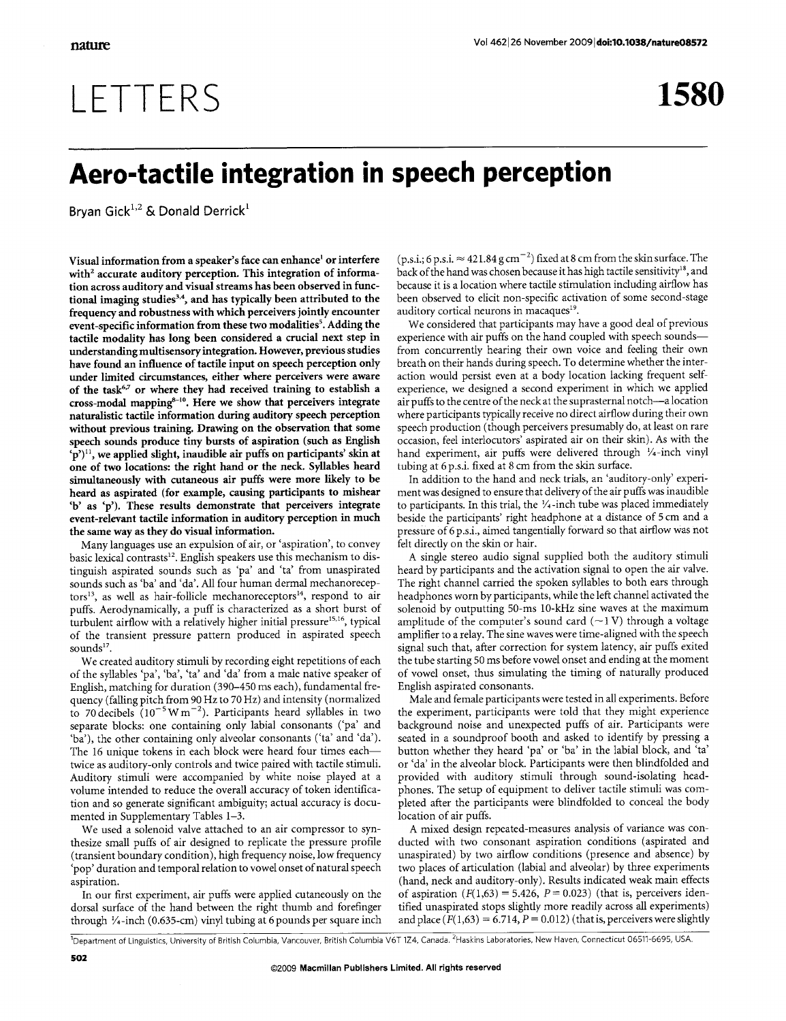## LETTERS

1580

## Aero-tactile integration in speech perception

Bryan Gick<sup>1,2</sup> & Donald Derrick<sup>1</sup>

Visual information from a speaker's face can enhance' or interfere with<sup>2</sup> accurate auditory perception. This integration of information across auditory and visual streams has been observed in functional imaging studies<sup>3,4</sup>, and has typically been attributed to the frequency and robustness with which perceivers jointly encounter event-specific information from these two modalities<sup>5</sup>. Adding the tactile modality has long been considered a crucial next step in understanding multisensory integration. However, previous studies have found an influence of tactile input on speech perception only under limited circumstances, either where perceivers were aware of the task<sup>6,7</sup> or where they had received training to establish a cross-modal mapping<sup>8-10</sup>. Here we show that perceivers integrate naturalistic tactile information during auditory speech perception without previous training. Drawing on the observation that some speech sounds produce tiny bursts of aspiration (such as English 'p')<sup>11</sup>, we applied slight, inaudible air puffs on participants' skin at one of two locations: the right hand or the neck. Syllables heard simultaneously with cutaneous air puffs were more likely to be heard as aspirated (for example, causing participants to mishear 'b' as 'p'). These results demonstrate that perceivers integrate event-relevant tactile information in auditory perception in much the same way as they do visual information.

Many languages use an expulsion of air, or 'aspiration', to convey basic lexical contrasts<sup>12</sup>. English speakers use this mechanism to distinguish aspirated sounds such as 'pa' and 'ta' from unaspirated sounds such as 'ba' and 'da'. All four human dermal mechanoreceptors<sup>13</sup>, as well as hair-follicle mechanoreceptors<sup>14</sup>, respond to air puffs. Aerodynamically, a puff is characterized as a short burst of turbulent airflow with a relatively higher initial pressure<sup>15,16</sup>, typical of the transient pressure pattern produced in aspirated speech sounds $^{17}$ .

We created auditory stimuli by recording eight repetitions of each of the syllables 'pa', 'ba', 'ta' and 'da' from a male native speaker of English, matching for duration (390–450 ms each), fundamental frequency (falling pitch from 90 Hz to 70 Hz) and intensity (normalized to 70 decibels  $(10^{-5}$  W m<sup>-2</sup>). Participants heard syllables in two separate blocks: one containing only labial consonants ('pa' and 'ba'), the other containing only alveolar consonants ('ta' and 'da'). The 16 unique tokens in each block were heard four times eachtwice as auditory-only controls and twice paired with tactile stimuli. Auditory stimuli were accompanied by white noise played at a volume intended to reduce the overall accuracy of token identification and so generate significant ambiguity; actual accuracy is documented in Supplementary Tables 1-3.

We used a solenoid valve attached to an air compressor to synthesize small puffs of air designed to replicate the pressure profile (transient boundary condition), high frequency noise, low frequency 'pop' duration and temporal relation to vowel onset of natural speech aspiration.

In our first experiment, air puffs were applied cutaneously on the dorsal surface of the hand between the right thumb and forefinger through 1/4-inch (0.635-cm) vinyl tubing at 6 pounds per square inch

(p.s.i.; 6 p.s.i.  $\approx$  421.84 g cm<sup>-2</sup>) fixed at 8 cm from the skin surface. The back of the hand was chosen because it has high tactile sensitivity<sup>18</sup>, and because it is a location where tactile stimulation including airflow has been observed to elicit non-specific activation of some second-stage auditory cortical neurons in macaques<sup>19</sup>.

We considered that participants may have a good deal of previous experience with air puffs on the hand coupled with speech soundsfrom concurrently hearing their own voice and feeling their own breath on their hands during speech. To determine whether the interaction would persist even at a body location lacking frequent selfexperience, we designed a second experiment in which we applied air puffs to the centre of the neck at the suprasternal notch-a location where participants typically receive no direct airflow during their own speech production (though perceivers presumably do, at least on rare occasion, feel interlocutors' aspirated air on their skin). As with the hand experiment, air puffs were delivered through 1/4-inch vinyl tubing at 6 p.s.i. fixed at 8 cm from the skin surface.

In addition to the hand and neck trials, an 'auditory-only' experiment was designed to ensure that delivery of the air puffs was inaudible to participants. In this trial, the 1/4-inch tube was placed immediately beside the participants' right headphone at a distance of 5 cm and a pressure of 6 p.s.i., aimed tangentially forward so that airflow was not felt directly on the skin or hair.

A single stereo audio signal supplied both the auditory stimuli heard by participants and the activation signal to open the air valve. The right channel carried the spoken syllables to both ears through headphones worn by participants, while the left channel activated the solenoid by outputting 50-ms 10-kHz sine waves at the maximum amplitude of the computer's sound card  $(\sim 1 \text{ V})$  through a voltage amplifier to a relay. The sine waves were time-aligned with the speech signal such that, after correction for system latency, air puffs exited the tube starting 50 ms before vowel onset and ending at the moment of vowel onset, thus simulating the timing of naturally produced English aspirated consonants.

Male and female participants were tested in all experiments. Before the experiment, participants were told that they might experience background noise and unexpected puffs of air. Participants were seated in a soundproof booth and asked to identify by pressing a button whether they heard 'pa' or 'ba' in the labial block, and 'ta' or 'da' in the alveolar block. Participants were then blindfolded and provided with auditory stimuli through sound-isolating headphones. The setup of equipment to deliver tactile stimuli was completed after the participants were blindfolded to conceal the body location of air puffs.

A mixed design repeated-measures analysis of variance was conducted with two consonant aspiration conditions (aspirated and unaspirated) by two airflow conditions (presence and absence) by two places of articulation (labial and alveolar) by three experiments (hand, neck and auditory-only). Results indicated weak main effects of aspiration  $(F(1,63) = 5.426, P = 0.023)$  (that is, perceivers identified unaspirated stops slightly more readily across all experiments) and place  $(F(1,63) = 6.714, P = 0.012)$  (that is, perceivers were slightly

Department of Linguistics, University of British Columbia, Vancouver, British Columbia V6T 124, Canada. <sup>2</sup>Haskins Laboratories, New Haven, Connecticut 06511-6695, USA.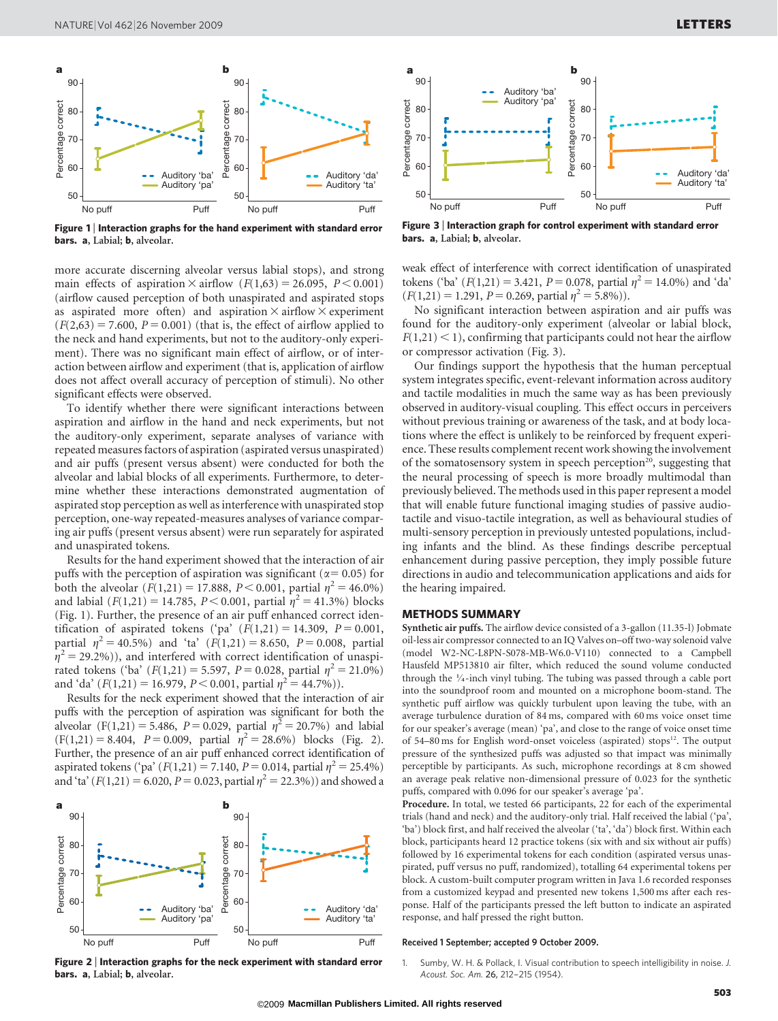

Figure 1 | Interaction graphs for the hand experiment with standard error bars. a, Labial; b, alveolar.

more accurate discerning alveolar versus labial stops), and strong main effects of aspiration  $\times$  airflow  $(F(1,63) = 26.095, P < 0.001)$ (airflow caused perception of both unaspirated and aspirated stops as aspirated more often) and aspiration  $\times$  airflow  $\times$  experiment  $(F(2,63) = 7.600, P = 0.001)$  (that is, the effect of airflow applied to the neck and hand experiments, but not to the auditory-only experiment). There was no significant main effect of airflow, or of interaction between airflow and experiment (that is, application of airflow does not affect overall accuracy of perception of stimuli). No other significant effects were observed.

To identify whether there were significant interactions between aspiration and airflow in the hand and neck experiments, but not the auditory-only experiment, separate analyses of variance with repeated measures factors of aspiration (aspirated versus unaspirated) and air puffs (present versus absent) were conducted for both the alveolar and labial blocks of all experiments. Furthermore, to determine whether these interactions demonstrated augmentation of aspirated stop perception as well as interference with unaspirated stop perception, one-way repeated-measures analyses of variance comparing air puffs (present versus absent) were run separately for aspirated and unaspirated tokens.

Results for the hand experiment showed that the interaction of air puffs with the perception of aspiration was significant ( $\alpha$ = 0.05) for both the alveolar  $(F(1,21) = 17.888, P < 0.001,$  partial  $\eta^2 = 46.0\%)$ and labial  $(F(1,21) = 14.785, P < 0.001,$  partial  $\eta^2 = 41.3\%$ ) blocks (Fig. 1). Further, the presence of an air puff enhanced correct identification of aspirated tokens ('pa'  $(F(1,21) = 14.309, P = 0.001,$ partial  $\eta^2 = 40.5\%$ ) and 'ta'  $(F(1,21) = 8.650, P = 0.008,$  partial  $\eta^2$  = 29.2%)), and interfered with correct identification of unaspirated tokens ('ba'  $(F(1,21) = 5.597, P = 0.028,$  partial  $\eta^2 = 21.0\%)$ and 'da'  $(F(1,21) = 16.979, P < 0.001,$  partial  $\eta^2 = 44.7\%)$ .

Results for the neck experiment showed that the interaction of air puffs with the perception of aspiration was significant for both the alveolar (F(1,21) = 5.486, P = 0.029, partial  $\eta^2$  = 20.7%) and labial  $(F(1,21) = 8.404, P = 0.009, partial \eta^2 = 28.6\%) blocks (Fig. 2).$ Further, the presence of an air puff enhanced correct identification of aspirated tokens ('pa'  $(F(1,21) = 7.140, P = 0.014,$  partial  $\eta^2 = 25.4\%)$ and 'ta' ( $F(1,21) = 6.020$ ,  $P = 0.023$ , partial  $\eta^2 = 22.3\%)$ ) and showed a



Figure 2 <sup>|</sup> Interaction graphs for the neck experiment with standard error bars. a, Labial; b, alveolar.



Figure 3 <sup>|</sup> Interaction graph for control experiment with standard error bars. a, Labial; b, alveolar.

weak effect of interference with correct identification of unaspirated tokens ('ba'  $(F(1,21) = 3.421, P = 0.078,$  partial  $\eta^2 = 14.0\%$ ) and 'da'  $(F(1,21) = 1.291, P = 0.269,$  partial  $n^2 = 5.8\%)$ .

No significant interaction between aspiration and air puffs was found for the auditory-only experiment (alveolar or labial block,  $F(1,21)$  < 1), confirming that participants could not hear the airflow or compressor activation (Fig. 3).

Our findings support the hypothesis that the human perceptual system integrates specific, event-relevant information across auditory and tactile modalities in much the same way as has been previously observed in auditory-visual coupling. This effect occurs in perceivers without previous training or awareness of the task, and at body locations where the effect is unlikely to be reinforced by frequent experience. These results complement recent work showing the involvement of the somatosensory system in speech perception<sup>20</sup>, suggesting that the neural processing of speech is more broadly multimodal than previously believed. The methods used in this paper represent a model that will enable future functional imaging studies of passive audiotactile and visuo-tactile integration, as well as behavioural studies of multi-sensory perception in previously untested populations, including infants and the blind. As these findings describe perceptual enhancement during passive perception, they imply possible future directions in audio and telecommunication applications and aids for the hearing impaired.

## METHODS SUMMARY

Synthetic air puffs. The airflow device consisted of a 3-gallon (11.35-l) Jobmate oil-less air compressor connected to an IQ Valves on–off two-way solenoid valve (model W2-NC-L8PN-S078-MB-W6.0-V110) connected to a Campbell Hausfeld MP513810 air filter, which reduced the sound volume conducted through the  $\frac{1}{4}$ -inch vinyl tubing. The tubing was passed through a cable port into the soundproof room and mounted on a microphone boom-stand. The synthetic puff airflow was quickly turbulent upon leaving the tube, with an average turbulence duration of 84 ms, compared with 60 ms voice onset time for our speaker's average (mean) 'pa', and close to the range of voice onset time of 54–80 ms for English word-onset voiceless (aspirated) stops $^{12}$ . The output pressure of the synthesized puffs was adjusted so that impact was minimally perceptible by participants. As such, microphone recordings at 8 cm showed an average peak relative non-dimensional pressure of 0.023 for the synthetic puffs, compared with 0.096 for our speaker's average 'pa'.

Procedure. In total, we tested 66 participants, 22 for each of the experimental trials (hand and neck) and the auditory-only trial. Half received the labial ('pa', 'ba') block first, and half received the alveolar ('ta', 'da') block first. Within each block, participants heard 12 practice tokens (six with and six without air puffs) followed by 16 experimental tokens for each condition (aspirated versus unaspirated, puff versus no puff, randomized), totalling 64 experimental tokens per block. A custom-built computer program written in Java 1.6 recorded responses from a customized keypad and presented new tokens 1,500 ms after each response. Half of the participants pressed the left button to indicate an aspirated response, and half pressed the right button.

## Received 1 September; accepted 9 October 2009.

Sumby, W. H. & Pollack, I. Visual contribution to speech intelligibility in noise. J. Acoust. Soc. Am. 26, 212–215 (1954).